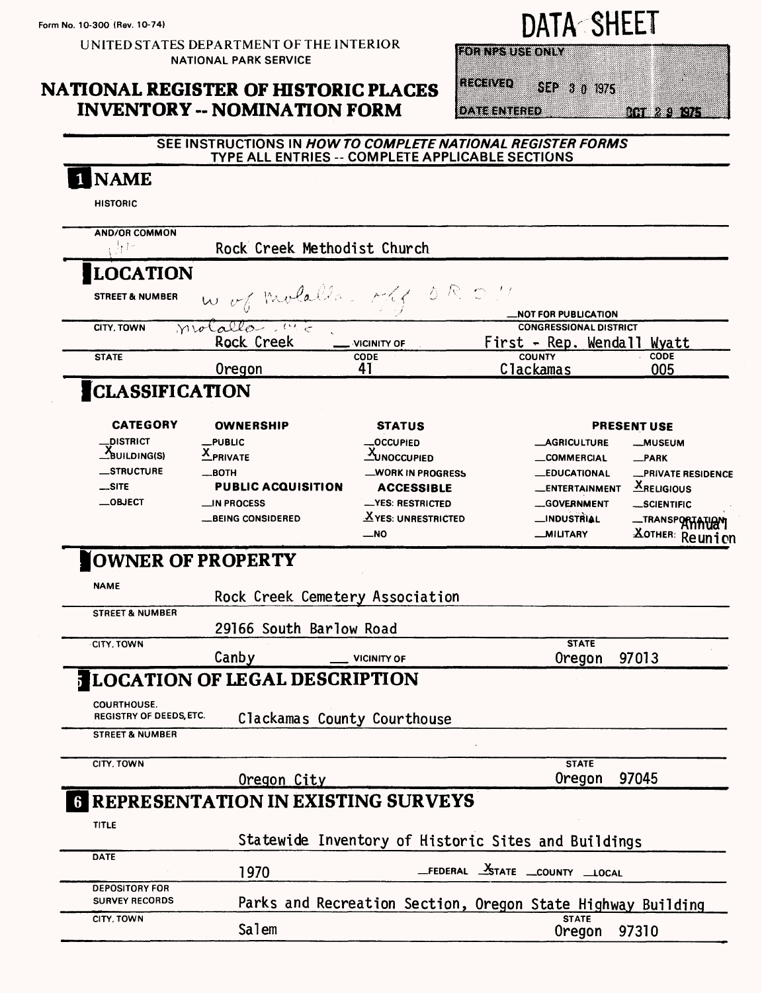UNITED STATES DEPARTMENT OF THE INTERIOR **NATIONAL PARK SERVICE** 

## **NATIONAL REGISTER OF HISTORIC PLACES INVENTORY -- NOMINATION FORM**

SEP 3 0 1975

**EORINES US SON LY** 

**DATE ENTERED** 

Regervan

0a 20a o

#### SEE INSTRUCTIONS IN HOW TO COMPLETE NATIONAL REGISTER FORMS TYPE ALL ENTRIES -- COMPLETE APPLICABLE SECTIONS **NAME HISTORIC** AND/OR COMMON 办区 Rock Creek Methodist Church **LOCATION** W of Molalla - か ぺ 一つ **STREET & NUMBER** NOT FOR PUBLICATION Molallo- Mc **CONGRESSIONAL DISTRICT CITY, TOWN** Rock Creek First - Rep. Wendall Wyatt VICINITY OF COUNTY **STATE** CODE  $CODF$ Clackamas 41 Oregon 005 **CLASSIFICATION CATEGORY OWNERSHIP STATUS PRESENT USE DISTRICT PUBLIC OCCUPIED** AGRICULTURE **MUSEUM**  $\overline{X}$  PRIVATE BUILDING(S) **XUNOCCUPIED** \_COMMERCIAL \_PARK \_STRUCTURE **HTOB WORK IN PROGRESS \_EDUCATIONAL PRIVATE RESIDENCE**  $...$ SITE **PUBLIC ACQUISITION**  $X_{REUGIOUS}$ **ACCESSIBLE** \_ENTERTAINMENT  $\equiv$ OBJECT IN PROCESS **YES: RESTRICTED** -GOVERNMENT SCIENTIFIC \_TRANSPORTATION XYES: UNRESTRICTED \_INDUSTRIAL **BEING CONSIDERED XOTHER:** Reunion  $\overline{\phantom{0}}$ NO **MILITARY OWNER OF PROPERTY NAME** Rock Creek Cemetery Association **STREET & NUMBER** 29166 South Barlow Road **STATE** CITY, TOWN Canby 97013 **VICINITY OF Oregon LOCATION OF LEGAL DESCRIPTION** COURTHOUSE. **REGISTRY OF DEEDS, ETC.** Clackamas County Courthouse **STREET & NUMBER** CITY, TOWN **STATE** 97045 Oregon City Oregon **REPRESENTATION IN EXISTING SURVEYS** TITLE Statewide Inventory of Historic Sites and Buildings **DATE** FEDERAL XSTATE COUNTY LOCAL 1970 **DEPOSITORY FOR SURVEY RECORDS** Parks and Recreation Section, Oregon State Highway Building CITY, TOWN **STATE** Salem Oregon 97310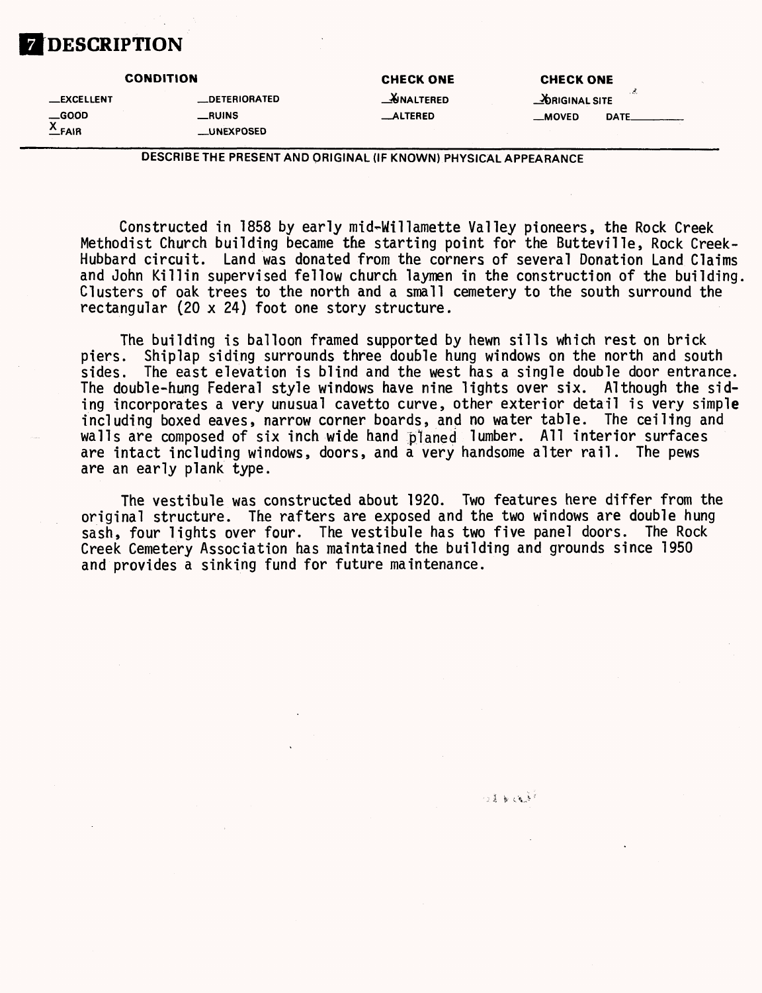# **DESCRIPTION**

### **CONDITION CHECK ONE CHECK ONE CHECK ONE —EXCELLENT —DETERIORATED \_J&NALTERED \_^)RIGINALSITE —GOOD —RUINS \_ALTERED —MOVED DATE. \_UNEXPOSED**

DESCRIBE THE PRESENT AND ORIGINAL (IF KNOWN) PHYSICAL APPEARANCE

Constructed in 1858 by early mid-Willamette Valley pioneers, the Rock Creek Methodist Church building became the starting point for the Butteville, Rock Creek-Hubbard circuit. Land was donated from the corners of several Donation Land Claims and John Killin supervised fellow church laymen in the construction of the building. Clusters of oak trees to the north and a small cemetery to the south surround the rectangular (20 x 24) foot one story structure.

The building is balloon framed supported by hewn sills which rest on brick piers. Shiplap siding surrounds three double hung windows on the north and south sides. The east elevation is blind and the west has a single double door entrance. The double-hung Federal style windows have nine lights over six. Although the siding incorporates a very unusual cavetto curve, other exterior detail is very simple including boxed eaves, narrow corner boards, and no water table. The ceiling and walls are composed of six inch wide hand planed lumber. All interior surfaces are intact including windows, doors, and a very handsome alter rail. The pews are an early plank type.

The vestibule was constructed about 1920. Two features here differ from the original structure. The rafters are exposed and the two windows are double hung sash, four lights over four. The vestibule has two five panel doors. The Rock Creek Cemetery Association has maintained the building and grounds since 1950 and provides a sinking fund for future maintenance.

 $\sim$  8  $\rightarrow$  8  $\rightarrow$   $\sim$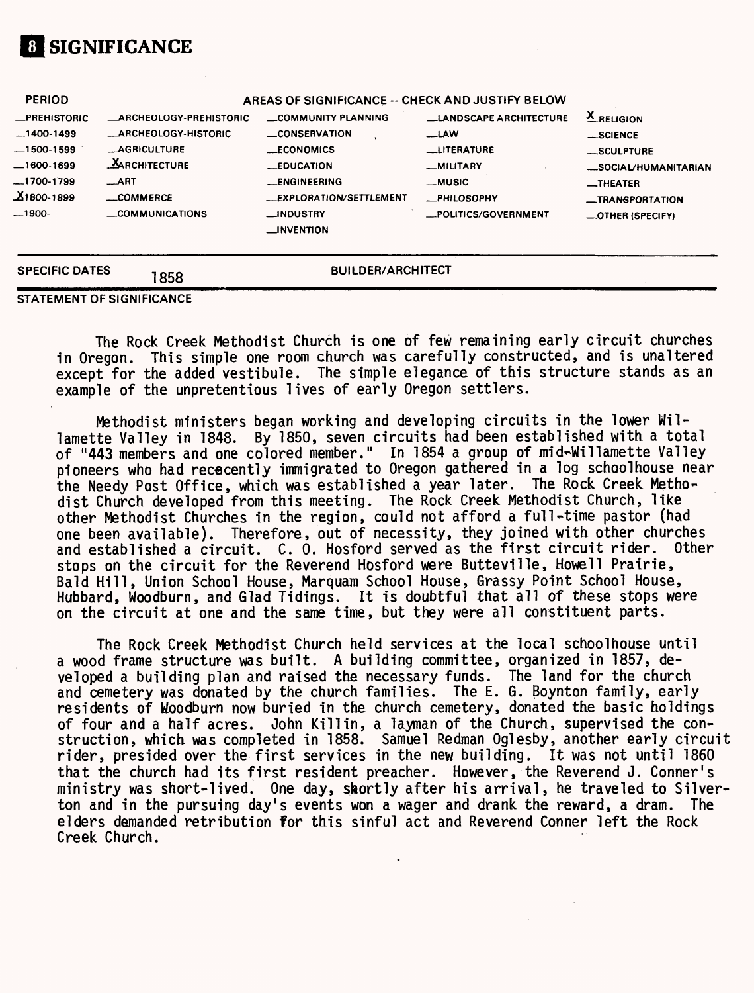# **01 SIGNIFICANCE**

| <b>SPECIFIC DATES</b>      | 1858                                             | <b>BUILDER/ARCHITECT</b>                                |                               |                                                    |  |  |  |
|----------------------------|--------------------------------------------------|---------------------------------------------------------|-------------------------------|----------------------------------------------------|--|--|--|
| —1900-                     | COMMUNICATIONS                                   | <b>__INDUSTRY</b><br>$\Box$ NVENTION                    | _POLITICS/GOVERNMENT          | <b>__TRANSPORTATION</b><br><b>_OTHER (SPECIFY)</b> |  |  |  |
| $-1700-1799$<br>X1800-1899 | $\_ART$<br>COMMERCE                              | <b>__ENGINEERING</b><br><b>__EXPLORATION/SETTLEMENT</b> | __MUSIC<br><b>_PHILOSOPHY</b> | $\overline{\phantom{a}}$ THEATER                   |  |  |  |
| $-1600-1699$               | MARCHITECTURE                                    | <b>__EDUCATION</b>                                      | <b>MILITARY</b>               | _SOCIAL/HUMANITARIAN                               |  |  |  |
| $-1500-1599$               | <b>__AGRICULTURE</b>                             | <b>__ECONOMICS</b>                                      | <b>LITERATURE</b>             | $\_$ SCULPTURE                                     |  |  |  |
| $-1400-1499$               | <b>MARCHEOLOGY-HISTORIC</b>                      | <b>CONSERVATION</b>                                     | $\equiv$ LAW                  | $\_$ SCIENCE                                       |  |  |  |
| <b>_PREHISTORIC</b>        | <b>_ARCHEOLOGY-PREHISTORIC</b>                   | COMMUNITY PLANNING                                      | <b>LANDSCAPE ARCHITECTURE</b> | <b>X</b> RELIGION                                  |  |  |  |
| <b>PERIOD</b>              | AREAS OF SIGNIFICANCE -- CHECK AND JUSTIFY BELOW |                                                         |                               |                                                    |  |  |  |

**STATEMENT OF SIGNIFICANCE**

The Rock Creek Methodist Church is one of few remaining early circuit churches in Oregon. This simple one room church was carefully constructed, and is unaltered except for the added vestibule. The simple elegance of this structure stands as an example of the unpretentious lives of early Oregon settlers.

Methodist ministers began working and developing circuits in the lower Willamette Valley in 1848. By 1850, seven circuits had been established with a total of "443 members and one colored member." In 1854 a group of mid^Willamette Valley pioneers who had rececently immigrated to Oregon gathered in a log schoolhouse near the Needy Post Office, which was established a year later. The Rock Creek Methodist Church developed from this meeting. The Rock Creek Methodist Church, like other Methodist Churches in the region, could not afford a full-time pastor (had one been available). Therefore, out of necessity, they joined with other churches and established a circuit. C. 0. Hosford served as the first circuit rider. Other stops on the circuit for the Reverend Hosford were Butteville, Howell Prairie, Bald Hill, Union School House, Marquam School House, Grassy Point School House, Hubbard, Woodburn, and Glad Tidings. It is doubtful that all of these stops were on the circuit at one and the same time, but they were all constituent parts.

The Rock Creek Methodist Church held services at the local schoolhouse until a wood frame structure was built. A building committee, organized in 1857, developed a building plan and raised the necessary funds. The land for the church and cemetery was donated by the church families. The E. G. Boynton family, early residents of Woodburn now buried in the church cemetery, donated the basic holdings of four and a half acres. John Kill in, a layman of the Church, supervised the construction, which was completed in 1858. Samuel Redman Oglesby, another early circuit rider, presided over the first services in the new building. It was not until 1860 that the church had its first resident preacher. However, the Reverend J. Conner's ministry was short-lived. One day, shortly after his arrival, he traveled to Silverton and in the pursuing day's events won a wager and drank the reward, a dram. The elders demanded retribution for this sinful act and Reverend Conner left the Rock Creek Church.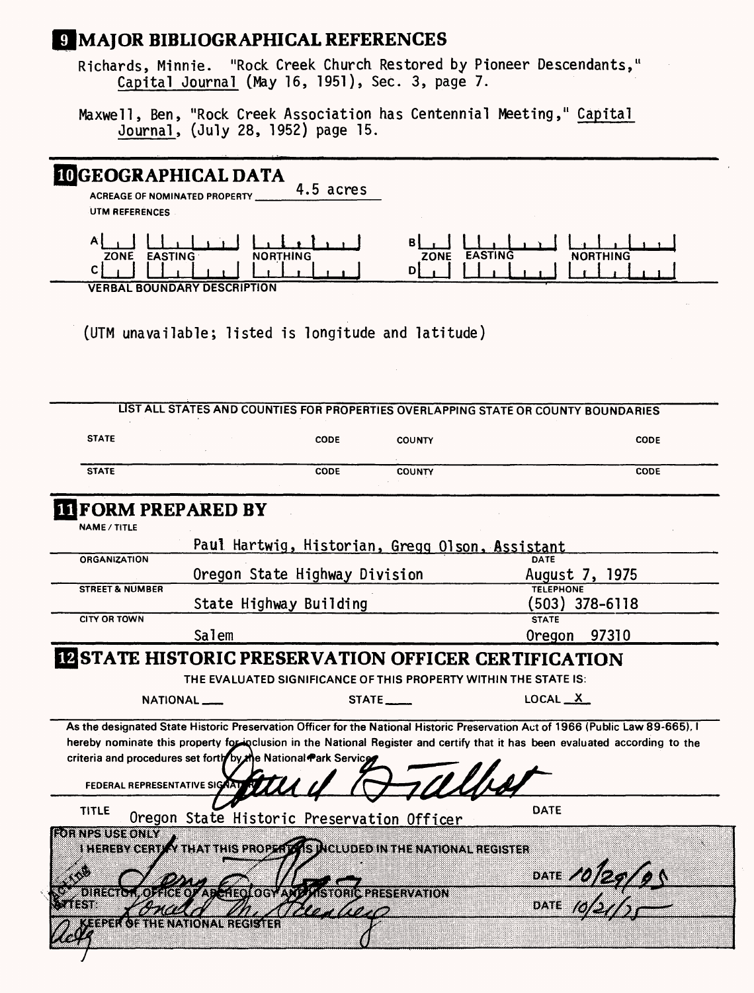## **9 MAJOR BIBLIOGRAPHICAL REFERENCES**

Richards, Minnie. "Rock Creek Church Restored by Pioneer Descendants," Capital Journal (May 16, 1951), Sec. 3, page 7.

Maxwell, Ben, "Rock Creek Association has Centennial Meeting," Capital Journal, (July 28, 1952) page 15.

# **aGEOGRAPHICAL DATA**

4.5 acres **ACREAGE OF NOMINATED PROPERTY** UTM REFERENCES

لى دا بايد السلمان السله **ZONE EASTING NORTHING C| . I I I . I . . I I , I . I , . I Bl . I I I . I . . I I . I . I . , ZONE EASTING NORTHING** p| <u>| | | | | | | | | | | | |</u>

**VERBAL BOUNDARY DESCRIPTION**

(UTM unavailable; listed is longitude and latitude)

|                                |                                                                                                               |                               |                                                                        | LIST ALL STATES AND COUNTIES FOR PROPERTIES OVERLAPPING STATE OR COUNTY BOUNDARIES                                              |  |
|--------------------------------|---------------------------------------------------------------------------------------------------------------|-------------------------------|------------------------------------------------------------------------|---------------------------------------------------------------------------------------------------------------------------------|--|
| <b>STATE</b>                   |                                                                                                               | CODE                          | <b>COUNTY</b>                                                          | <b>CODE</b>                                                                                                                     |  |
| <b>STATE</b>                   |                                                                                                               | <b>CODE</b>                   | <b>COUNTY</b>                                                          | CODE                                                                                                                            |  |
|                                | <b>INFORM PREPARED BY</b>                                                                                     |                               |                                                                        |                                                                                                                                 |  |
| <b>NAME / TITLE</b>            |                                                                                                               |                               |                                                                        |                                                                                                                                 |  |
|                                |                                                                                                               |                               | Paul Hartwig, Historian, Gregg Olson, Assistant                        |                                                                                                                                 |  |
| <b>ORGANIZATION</b>            |                                                                                                               |                               | <b>DATE</b>                                                            |                                                                                                                                 |  |
|                                |                                                                                                               | Oregon State Highway Division |                                                                        | August 7, 1975                                                                                                                  |  |
| <b>STREET &amp; NUMBER</b>     |                                                                                                               |                               |                                                                        | <b>TELEPHONE</b>                                                                                                                |  |
| <b>CITY OR TOWN</b>            |                                                                                                               | State Highway Building        |                                                                        | $(503)$ 378-6118<br><b>STATE</b>                                                                                                |  |
|                                | Salem                                                                                                         |                               |                                                                        | Oregon 97310                                                                                                                    |  |
|                                |                                                                                                               |                               |                                                                        |                                                                                                                                 |  |
|                                |                                                                                                               |                               |                                                                        | <b>IZ STATE HISTORIC PRESERVATION OFFICER CERTIFICATION</b>                                                                     |  |
|                                |                                                                                                               |                               |                                                                        | THE EVALUATED SIGNIFICANCE OF THIS PROPERTY WITHIN THE STATE IS:                                                                |  |
|                                |                                                                                                               |                               |                                                                        |                                                                                                                                 |  |
|                                | NATIONAL                                                                                                      |                               | STATE                                                                  | LOCAL $X$                                                                                                                       |  |
|                                |                                                                                                               |                               |                                                                        |                                                                                                                                 |  |
|                                |                                                                                                               |                               |                                                                        | As the designated State Historic Preservation Officer for the National Historic Preservation Act of 1966 (Public Law 89-665), I |  |
|                                |                                                                                                               |                               |                                                                        | hereby nominate this property for inclusion in the National Register and certify that it has been evaluated according to the    |  |
|                                | criteria and procedures set forth by the National Park Service                                                |                               |                                                                        |                                                                                                                                 |  |
| FEDERAL REPRESENTATIVE SIGNATI |                                                                                                               |                               |                                                                        |                                                                                                                                 |  |
|                                |                                                                                                               |                               |                                                                        |                                                                                                                                 |  |
| <b>TITLE</b>                   |                                                                                                               |                               |                                                                        | DATE                                                                                                                            |  |
| rahvenus tonin                 | Oregon State Historic Preservation Officer                                                                    |                               |                                                                        |                                                                                                                                 |  |
|                                |                                                                                                               |                               | I HEREBY CERTIFY THAT THIS PROPER DAS MCLUDED IN THE NATIONAL REGISTER |                                                                                                                                 |  |
|                                |                                                                                                               |                               |                                                                        |                                                                                                                                 |  |
|                                |                                                                                                               |                               |                                                                        |                                                                                                                                 |  |
| ara da San                     | unaa kasaa ka shii dhamaa waxaa mid waxaa ka mid wadan waxaa mid waxaa mid waxaa mid waxaa ka shii ka shii ka |                               |                                                                        | DATE 10129105                                                                                                                   |  |
|                                | EPER OF THE NATIONAL REGISTER                                                                                 | ET TITULI                     |                                                                        |                                                                                                                                 |  |